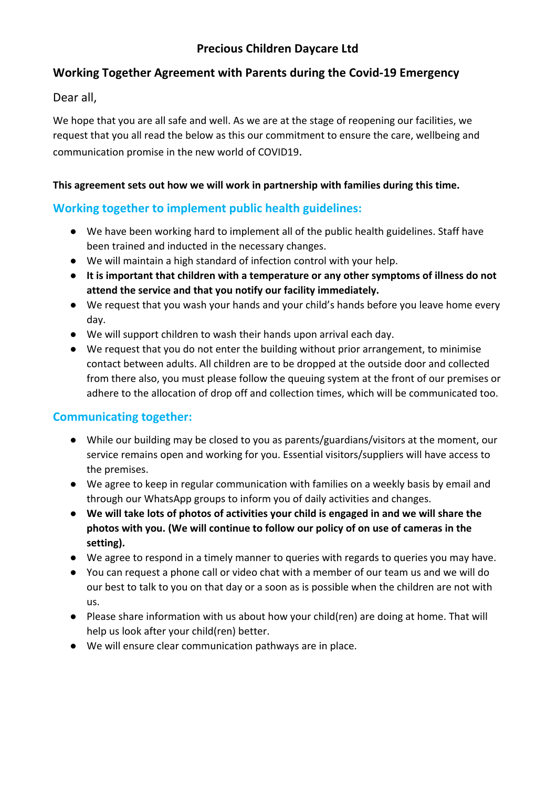# **Precious Children Daycare Ltd**

## **Working Together Agreement with Parents during the Covid-19 Emergency**

Dear all,

We hope that you are all safe and well. As we are at the stage of reopening our facilities, we request that you all read the below as this our commitment to ensure the care, wellbeing and communication promise in the new world of COVID19.

#### **This agreement sets out how we will work in partnership with families during this time.**

# **Working together to implement public health guidelines:**

- We have been working hard to implement all of the public health guidelines. Staff have been trained and inducted in the necessary changes.
- We will maintain a high standard of infection control with your help.
- **● It is important that children with a temperature or any other symptoms of illness do not attend the service and that you notify our facility immediately.**
- We request that you wash your hands and your child's hands before you leave home every day.
- We will support children to wash their hands upon arrival each day.
- We request that you do not enter the building without prior arrangement, to minimise contact between adults. All children are to be dropped at the outside door and collected from there also, you must please follow the queuing system at the front of our premises or adhere to the allocation of drop off and collection times, which will be communicated too.

#### **Communicating together:**

- While our building may be closed to you as parents/guardians/visitors at the moment, our service remains open and working for you. Essential visitors/suppliers will have access to the premises.
- We agree to keep in regular communication with families on a weekly basis by email and through our WhatsApp groups to inform you of daily activities and changes.
- **● We will take lots of photos of activities your child is engaged in and we will share the photos with you. (We will continue to follow our policy of on use of cameras in the setting).**
- We agree to respond in a timely manner to queries with regards to queries you may have.
- You can request a phone call or video chat with a member of our team us and we will do our best to talk to you on that day or a soon as is possible when the children are not with us.
- Please share information with us about how your child(ren) are doing at home. That will help us look after your child(ren) better.
- We will ensure clear communication pathways are in place.